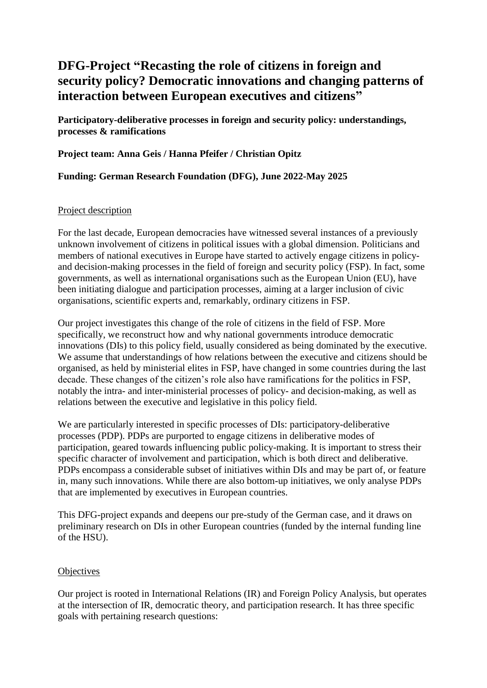# **DFG-Project "Recasting the role of citizens in foreign and security policy? Democratic innovations and changing patterns of interaction between European executives and citizens"**

**Participatory-deliberative processes in foreign and security policy: understandings, processes & ramifications**

**Project team: Anna Geis / Hanna Pfeifer / Christian Opitz**

## **Funding: German Research Foundation (DFG), June 2022-May 2025**

### Project description

For the last decade, European democracies have witnessed several instances of a previously unknown involvement of citizens in political issues with a global dimension. Politicians and members of national executives in Europe have started to actively engage citizens in policyand decision-making processes in the field of foreign and security policy (FSP). In fact, some governments, as well as international organisations such as the European Union (EU), have been initiating dialogue and participation processes, aiming at a larger inclusion of civic organisations, scientific experts and, remarkably, ordinary citizens in FSP.

Our project investigates this change of the role of citizens in the field of FSP. More specifically, we reconstruct how and why national governments introduce democratic innovations (DIs) to this policy field, usually considered as being dominated by the executive. We assume that understandings of how relations between the executive and citizens should be organised, as held by ministerial elites in FSP, have changed in some countries during the last decade. These changes of the citizen's role also have ramifications for the politics in FSP, notably the intra- and inter-ministerial processes of policy- and decision-making, as well as relations between the executive and legislative in this policy field.

We are particularly interested in specific processes of DIs: participatory-deliberative processes (PDP). PDPs are purported to engage citizens in deliberative modes of participation, geared towards influencing public policy-making. It is important to stress their specific character of involvement and participation, which is both direct and deliberative. PDPs encompass a considerable subset of initiatives within DIs and may be part of, or feature in, many such innovations. While there are also bottom-up initiatives, we only analyse PDPs that are implemented by executives in European countries.

This DFG-project expands and deepens our pre-study of the German case, and it draws on preliminary research on DIs in other European countries (funded by the internal funding line of the HSU).

#### **Objectives**

Our project is rooted in International Relations (IR) and Foreign Policy Analysis, but operates at the intersection of IR, democratic theory, and participation research. It has three specific goals with pertaining research questions: